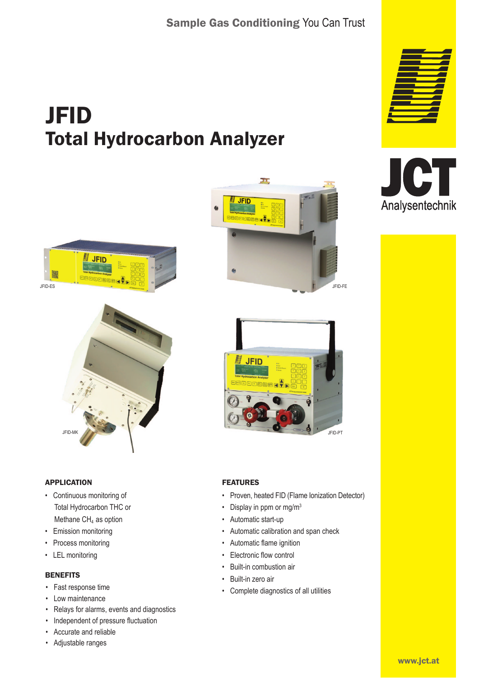# JFID Total Hydrocarbon Analyzer





### APPLICATION

- Continuous monitoring of Total Hydrocarbon THC or Methane  $CH<sub>4</sub>$  as option
- Emission monitoring
- Process monitoring
- LEL monitoring

### **BENEFITS**

- Fast response time
- Low maintenance
- Relays for alarms, events and diagnostics
- Independent of pressure fluctuation
- Accurate and reliable
- Adjustable ranges







### FEATURES

- Proven, heated FID (Flame Ionization Detector)
- Display in ppm or mg/m $3$
- Automatic start-up
- Automatic calibration and span check
- Automatic flame ignition
- Electronic flow control
- Built-in combustion air
- Built-in zero air
- Complete diagnostics of all utilities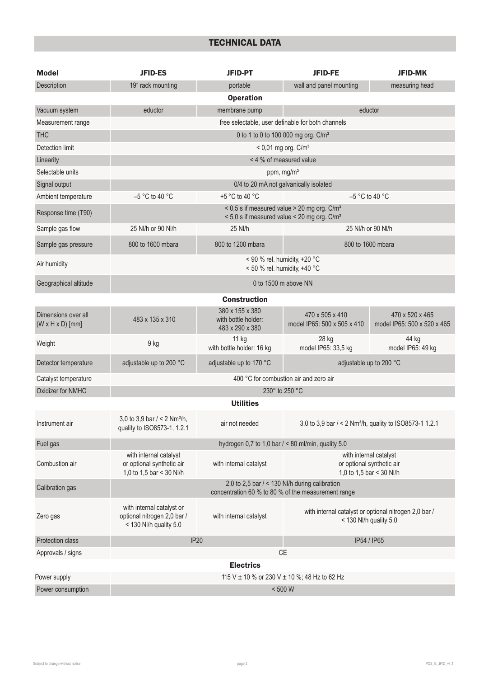# TECHNICAL DATA

| <b>Model</b>                                        | <b>JFID-ES</b>                                                                                                 | JFID-PT                                                   | <b>JFID-FE</b>                                                                  | <b>JFID-MK</b>                                 |
|-----------------------------------------------------|----------------------------------------------------------------------------------------------------------------|-----------------------------------------------------------|---------------------------------------------------------------------------------|------------------------------------------------|
| Description                                         | 19" rack mounting                                                                                              | portable                                                  | wall and panel mounting                                                         | measuring head                                 |
|                                                     |                                                                                                                | <b>Operation</b>                                          |                                                                                 |                                                |
| Vacuum system                                       | eductor                                                                                                        | membrane pump                                             | eductor                                                                         |                                                |
| Measurement range                                   |                                                                                                                |                                                           | free selectable, user definable for both channels                               |                                                |
| <b>THC</b>                                          | 0 to 1 to 0 to 100 000 mg org. C/m <sup>3</sup>                                                                |                                                           |                                                                                 |                                                |
| Detection limit                                     | $< 0.01$ mg org. $C/m3$                                                                                        |                                                           |                                                                                 |                                                |
| Linearity                                           | < 4 % of measured value                                                                                        |                                                           |                                                                                 |                                                |
| Selectable units                                    | ppm, mg/m <sup>3</sup>                                                                                         |                                                           |                                                                                 |                                                |
| Signal output                                       | 0/4 to 20 mA not galvanically isolated                                                                         |                                                           |                                                                                 |                                                |
| Ambient temperature                                 | $-5$ °C to 40 °C                                                                                               | +5 °C to 40 °C                                            | $-5$ °C to 40 °C                                                                |                                                |
| Response time (T90)                                 | < $0.5$ s if measured value > 20 mg org. $C/m3$<br>$<$ 5,0 s if measured value $<$ 20 mg org. C/m <sup>3</sup> |                                                           |                                                                                 |                                                |
| Sample gas flow                                     | 25 NI/h or 90 NI/h                                                                                             | 25 NI/h                                                   | 25 NI/h or 90 NI/h                                                              |                                                |
| Sample gas pressure                                 | 800 to 1600 mbara                                                                                              | 800 to 1200 mbara                                         | 800 to 1600 mbara                                                               |                                                |
| Air humidity                                        | < 90 % rel. humidity, +20 °C<br>< 50 % rel. humidity, +40 °C                                                   |                                                           |                                                                                 |                                                |
| Geographical altitude                               | 0 to 1500 m above NN                                                                                           |                                                           |                                                                                 |                                                |
|                                                     |                                                                                                                | <b>Construction</b>                                       |                                                                                 |                                                |
| Dimensions over all<br>$(W \times H \times D)$ [mm] | 483 x 135 x 310                                                                                                | 380 x 155 x 380<br>with bottle holder:<br>483 x 290 x 380 | 470 x 505 x 410<br>model IP65: 500 x 505 x 410                                  | 470 x 520 x 465<br>model IP65: 500 x 520 x 465 |
| Weight                                              | 9 kg                                                                                                           | 11 kg<br>with bottle holder: 16 kg                        | 28 kg<br>model IP65: 33,5 kg                                                    | 44 kg<br>model IP65: 49 kg                     |
| Detector temperature                                | adjustable up to 200 °C                                                                                        | adjustable up to 170 °C                                   | adjustable up to 200 °C                                                         |                                                |
| Catalyst temperature                                | 400 °C for combustion air and zero air                                                                         |                                                           |                                                                                 |                                                |
| Oxidizer for NMHC                                   | 230° to 250 °C                                                                                                 |                                                           |                                                                                 |                                                |
|                                                     |                                                                                                                | <b>Utilities</b>                                          |                                                                                 |                                                |
| Instrument air                                      | 3,0 to 3,9 bar $/ < 2$ Nm <sup>3</sup> /h,<br>quality to ISO8573-1, 1.2.1                                      | air not needed                                            | 3,0 to 3,9 bar / < 2 Nm <sup>3</sup> /h, quality to ISO8573-1 1.2.1             |                                                |
| Fuel gas                                            | hydrogen 0,7 to 1,0 bar $/$ < 80 ml/min, quality 5.0                                                           |                                                           |                                                                                 |                                                |
| Combustion air                                      | with internal catalyst<br>or optional synthetic air<br>1,0 to 1,5 bar < 30 NI/h                                | with internal catalyst                                    | with internal catalyst<br>or optional synthetic air<br>1.0 to 1.5 bar < 30 Nl/h |                                                |
| Calibration gas                                     | 2,0 to 2,5 bar / < 130 NI/h during calibration<br>concentration 60 % to 80 % of the measurement range          |                                                           |                                                                                 |                                                |
| Zero gas                                            | with internal catalyst or<br>optional nitrogen 2,0 bar /<br>< 130 NI/h quality 5.0                             | with internal catalyst                                    | with internal catalyst or optional nitrogen 2,0 bar /<br>< 130 Nl/h quality 5.0 |                                                |
| <b>Protection class</b>                             | <b>IP20</b><br>IP54 / IP65                                                                                     |                                                           |                                                                                 |                                                |
| Approvals / signs                                   |                                                                                                                |                                                           | CE                                                                              |                                                |
| <b>Electrics</b>                                    |                                                                                                                |                                                           |                                                                                 |                                                |
| Power supply                                        | 115 V ± 10 % or 230 V ± 10 %; 48 Hz to 62 Hz                                                                   |                                                           |                                                                                 |                                                |
| Power consumption                                   | $< 500 W$                                                                                                      |                                                           |                                                                                 |                                                |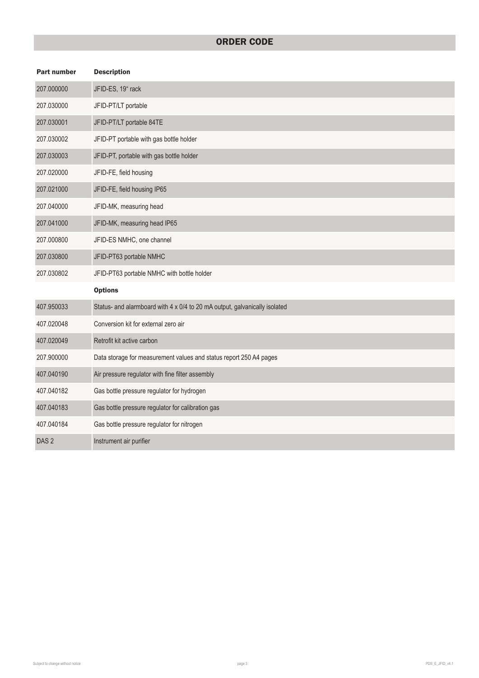## ORDER CODE

| <b>Part number</b> | <b>Description</b>                                                         |  |  |
|--------------------|----------------------------------------------------------------------------|--|--|
| 207.000000         | JFID-ES, 19" rack                                                          |  |  |
| 207.030000         | JFID-PT/LT portable                                                        |  |  |
| 207.030001         | JFID-PT/LT portable 84TE                                                   |  |  |
| 207.030002         | JFID-PT portable with gas bottle holder                                    |  |  |
| 207.030003         | JFID-PT, portable with gas bottle holder                                   |  |  |
| 207.020000         | JFID-FE, field housing                                                     |  |  |
| 207.021000         | JFID-FE, field housing IP65                                                |  |  |
| 207.040000         | JFID-MK, measuring head                                                    |  |  |
| 207.041000         | JFID-MK, measuring head IP65                                               |  |  |
| 207.000800         | JFID-ES NMHC, one channel                                                  |  |  |
| 207.030800         | JFID-PT63 portable NMHC                                                    |  |  |
| 207.030802         | JFID-PT63 portable NMHC with bottle holder                                 |  |  |
|                    | <b>Options</b>                                                             |  |  |
| 407.950033         | Status- and alarmboard with 4 x 0/4 to 20 mA output, galvanically isolated |  |  |
| 407.020048         | Conversion kit for external zero air                                       |  |  |
| 407.020049         | Retrofit kit active carbon                                                 |  |  |
| 207.900000         | Data storage for measurement values and status report 250 A4 pages         |  |  |
| 407.040190         | Air pressure regulator with fine filter assembly                           |  |  |
| 407.040182         | Gas bottle pressure regulator for hydrogen                                 |  |  |
| 407.040183         | Gas bottle pressure regulator for calibration gas                          |  |  |
| 407.040184         | Gas bottle pressure regulator for nitrogen                                 |  |  |
| DAS <sub>2</sub>   | Instrument air purifier                                                    |  |  |